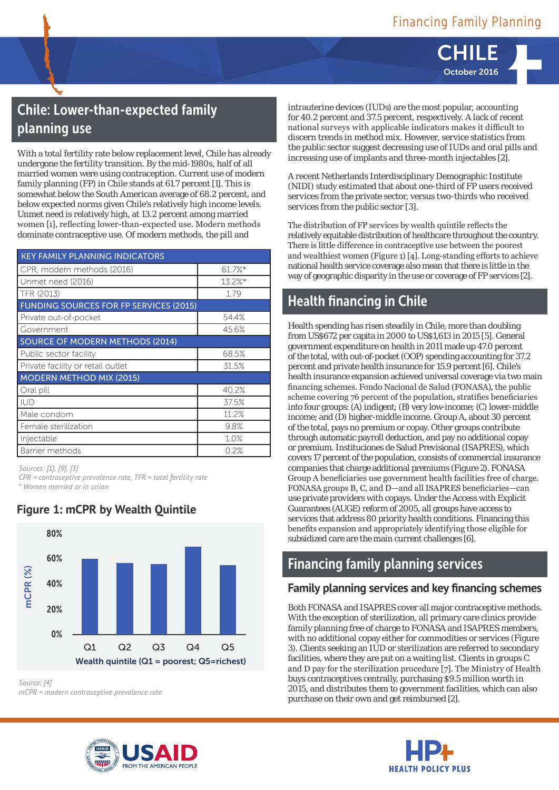CHILE October 2016

# Chile: Lower-than-expected family planning use

With a total fertility rate below replacement level, Chile has already undergone the fertility transition. By the mid-1980s, half of all married women were using contraception. Current use of modern family planning (FP) in Chile stands at 61.7 percent [1]. This is somewhat below the South American average of 68.2 percent, and below expected norms given Chile's relatively high income levels. Unmet need is relatively high, at 13.2 percent among married women [1], reflecting lower-than-expected use. Modern methods dominate contraceptive use. Of modern methods, the pill and

| <b>KEY FAMILY PLANNING INDICATORS</b>         |            |  |  |  |  |
|-----------------------------------------------|------------|--|--|--|--|
| CPR, modern methods (2016)                    | $61.7\%$ * |  |  |  |  |
| Unmet need (2016)                             | $13.2\%$ * |  |  |  |  |
| TFR (2013)                                    | 1.79       |  |  |  |  |
| <b>FUNDING SOURCES FOR FP SERVICES (2015)</b> |            |  |  |  |  |
| Private out-of-pocket                         | 54.4%      |  |  |  |  |
| Government                                    | 45.6%      |  |  |  |  |
| SOURCE OF MODERN METHODS (2014)               |            |  |  |  |  |
| Public sector facility                        | 68.5%      |  |  |  |  |
| Private facility or retail outlet             | 31.5%      |  |  |  |  |
| <b>MODERN METHOD MIX (2015)</b>               |            |  |  |  |  |
| Oral pill                                     | 40.2%      |  |  |  |  |
| <b>IUD</b>                                    | 37.5%      |  |  |  |  |
| Male condom                                   | 11.2%      |  |  |  |  |
| Female sterilization                          | 9.8%       |  |  |  |  |
| Injectable                                    | 1.0%       |  |  |  |  |
| Barrier methods                               | 0.2%       |  |  |  |  |

*Sources: [1], [9], [3]* 

*CPR = contraceptive prevalence rate, TFR = total fertility rate \* Women married or in union*



#### **Figure 1: mCPR by Wealth Quintile**

intrauterine devices (IUDs) are the most popular, accounting for 40.2 percent and 37.5 percent, respectively. A lack of recent national surveys with applicable indicators makes it difficult to discern trends in method mix. However, service statistics from the public sector suggest decreasing use of IUDs and oral pills and increasing use of implants and three-month injectables [2].

A recent Netherlands Interdisciplinary Demographic Institute (NIDI) study estimated that about one-third of FP users received services from the private sector, versus two-thirds who received services from the public sector [3].

The distribution of FP services by wealth quintile reflects the relatively equitable distribution of healthcare throughout the country. There is little difference in contraceptive use between the poorest and wealthiest women (Figure 1) [4]. Long-standing efforts to achieve national health service coverage also mean that there is little in the way of geographic disparity in the use or coverage of FP services [2].

## Health financing in Chile

Health spending has risen steadily in Chile, more than doubling from US\$672 per capita in 2000 to US\$1,613 in 2015 [5]. General government expenditure on health in 2011 made up 47.0 percent of the total, with out-of-pocket (OOP) spending accounting for 37.2 percent and private health insurance for 15.9 percent [6]. Chile's health insurance expansion achieved universal coverage via two main financing schemes. Fondo Nacional de Salud (FONASA), the public scheme covering 76 percent of the population, stratifies beneficiaries into four groups: (A) indigent; (B) very low-income; (C) lower-middle income; and (D) higher-middle income. Group A, about 30 percent of the total, pays no premium or copay. Other groups contribute through automatic payroll deduction, and pay no additional copay or premium. Instituciones de Salud Previsional (ISAPRES), which covers 17 percent of the population, consists of commercial insurance companies that charge additional premiums (Figure 2). FONASA Group A beneficiaries use government health facilities free of charge. FONASA groups B, C, and D—and all ISAPRES beneficiaries—can use private providers with copays. Under the Access with Explicit Guarantees (AUGE) reform of 2005, all groups have access to services that address 80 priority health conditions. Financing this benefits expansion and appropriately identifying those eligible for subsidized care are the main current challenges [6].

## Financing family planning services

## **Family planning services and key financing schemes**

Both FONASA and ISAPRES cover all major contraceptive methods. With the exception of sterilization, all primary care clinics provide family planning free of charge to FONASA and ISAPRES members, with no additional copay either for commodities or services (Figure 3). Clients seeking an IUD or sterilization are referred to secondary facilities, where they are put on a waiting list. Clients in groups C and D pay for the sterilization procedure [7]. The Ministry of Health buys contraceptives centrally, purchasing \$9.5 million worth in 2015, and distributes them to government facilities, which can also purchase on their own and get reimbursed [2].





*Source: [4] mCPR = modern contraceptive prevalence rate*